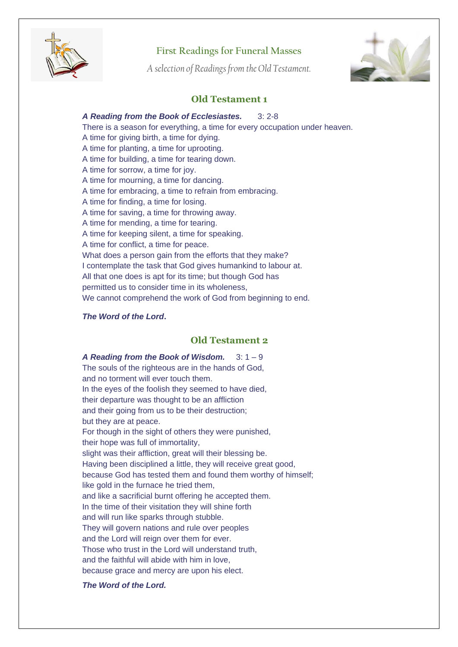

# **First Readings for Funeral Masses**

*A selection of Readings from the Old Testament.*



# **Old Testament 1**

### *A Reading from the Book of Ecclesiastes.* 3: 2-8

There is a season for everything, a time for every occupation under heaven. A time for giving birth, a time for dying. A time for planting, a time for uprooting. A time for building, a time for tearing down. A time for sorrow, a time for joy. A time for mourning, a time for dancing. A time for embracing, a time to refrain from embracing. A time for finding, a time for losing. A time for saving, a time for throwing away. A time for mending, a time for tearing. A time for keeping silent, a time for speaking. A time for conflict, a time for peace. What does a person gain from the efforts that they make? I contemplate the task that God gives humankind to labour at. All that one does is apt for its time; but though God has permitted us to consider time in its wholeness, We cannot comprehend the work of God from beginning to end.

#### *The Word of the Lord***.**

### **Old Testament 2**

*A Reading from the Book of Wisdom.* 3: 1 – 9 The souls of the righteous are in the hands of God, and no torment will ever touch them. In the eyes of the foolish they seemed to have died, their departure was thought to be an affliction and their going from us to be their destruction; but they are at peace. For though in the sight of others they were punished, their hope was full of immortality, slight was their affliction, great will their blessing be. Having been disciplined a little, they will receive great good, because God has tested them and found them worthy of himself; like gold in the furnace he tried them, and like a sacrificial burnt offering he accepted them. In the time of their visitation they will shine forth and will run like sparks through stubble. They will govern nations and rule over peoples and the Lord will reign over them for ever. Those who trust in the Lord will understand truth, and the faithful will abide with him in love, because grace and mercy are upon his elect.

#### *The Word of the Lord.*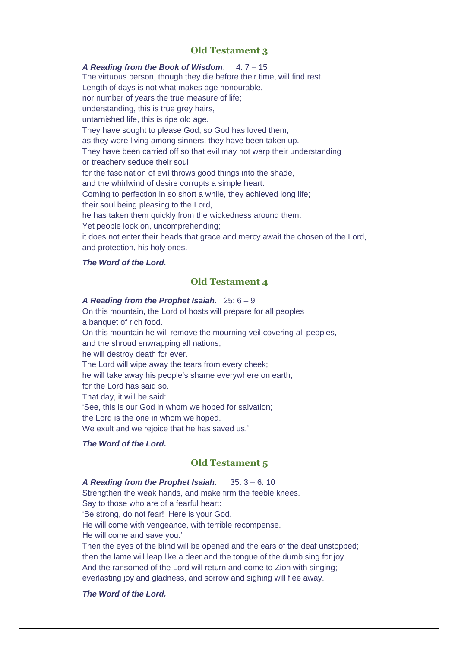## **Old Testament 3**

*A Reading from the Book of Wisdom*. 4: 7 – 15 The virtuous person, though they die before their time, will find rest. Length of days is not what makes age honourable, nor number of years the true measure of life; understanding, this is true grey hairs, untarnished life, this is ripe old age. They have sought to please God, so God has loved them; as they were living among sinners, they have been taken up. They have been carried off so that evil may not warp their understanding or treachery seduce their soul; for the fascination of evil throws good things into the shade, and the whirlwind of desire corrupts a simple heart. Coming to perfection in so short a while, they achieved long life; their soul being pleasing to the Lord, he has taken them quickly from the wickedness around them. Yet people look on, uncomprehending; it does not enter their heads that grace and mercy await the chosen of the Lord, and protection, his holy ones.

#### *The Word of the Lord.*

# **Old Testament 4**

#### *A Reading from the Prophet Isaiah.* 25: 6 – 9

On this mountain, the Lord of hosts will prepare for all peoples a banquet of rich food. On this mountain he will remove the mourning veil covering all peoples, and the shroud enwrapping all nations, he will destroy death for ever. The Lord will wipe away the tears from every cheek; he will take away his people's shame everywhere on earth, for the Lord has said so. That day, it will be said: 'See, this is our God in whom we hoped for salvation; the Lord is the one in whom we hoped. We exult and we rejoice that he has saved us.'

### *The Word of the Lord.*

## **Old Testament 5**

*A Reading from the Prophet Isaiah*. 35: 3 – 6. 10 Strengthen the weak hands, and make firm the feeble knees. Say to those who are of a fearful heart: 'Be strong, do not fear! Here is your God. He will come with vengeance, with terrible recompense. He will come and save you.' Then the eyes of the blind will be opened and the ears of the deaf unstopped; then the lame will leap like a deer and the tongue of the dumb sing for joy. And the ransomed of the Lord will return and come to Zion with singing; everlasting joy and gladness, and sorrow and sighing will flee away.

### *The Word of the Lord.*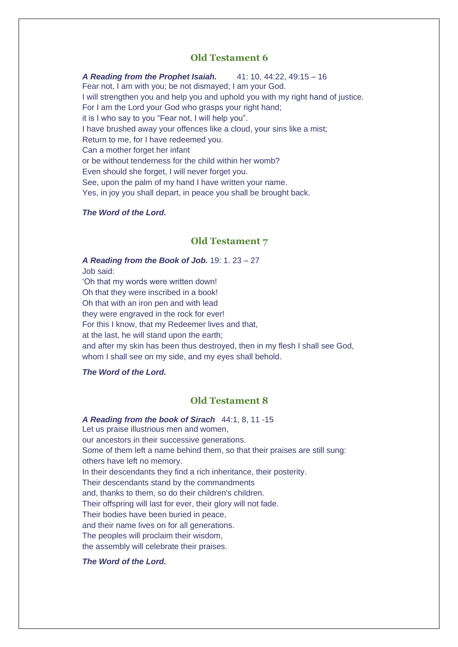### **Old Testament 6**

*A Reading from the Prophet Isaiah.* 41: 10, 44:22, 49:15 – 16 Fear not, I am with you; be not dismayed; I am your God. I will strengthen you and help you and uphold you with my right hand of justice. For I am the Lord your God who grasps your right hand; it is I who say to you "Fear not, I will help you". I have brushed away your offences like a cloud, your sins like a mist; Return to me, for I have redeemed you. Can a mother forget her infant or be without tenderness for the child within her womb? Even should she forget, I will never forget you. See, upon the palm of my hand I have written your name. Yes, in joy you shall depart, in peace you shall be brought back.

#### *The Word of the Lord.*

#### **Old Testament 7**

*A Reading from the Book of Job.* 19: 1. 23 – 27 Job said: 'Oh that my words were written down! Oh that they were inscribed in a book! Oh that with an iron pen and with lead they were engraved in the rock for ever! For this I know, that my Redeemer lives and that, at the last, he will stand upon the earth; and after my skin has been thus destroyed, then in my flesh I shall see God, whom I shall see on my side, and my eyes shall behold.

#### *The Word of the Lord.*

## **Old Testament 8**

*A Reading from the book of Sirach* 44:1, 8, 11 -15 Let us praise illustrious men and women, our ancestors in their successive generations. Some of them left a name behind them, so that their praises are still sung: others have left no memory. In their descendants they find a rich inheritance, their posterity. Their descendants stand by the commandments and, thanks to them, so do their children's children. Their offspring will last for ever, their glory will not fade. Their bodies have been buried in peace, and their name lives on for all generations. The peoples will proclaim their wisdom, the assembly will celebrate their praises.

#### *The Word of the Lord.*